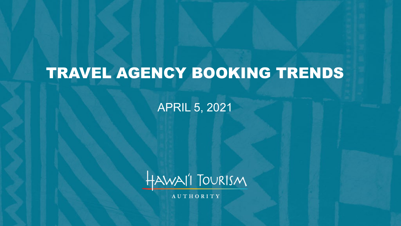# TRAVEL AGENCY BOOKING TRENDS

APRIL 5, 2021



**AUTHORITY**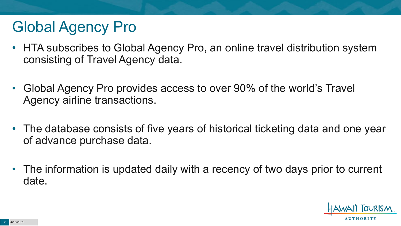### Global Agency Pro

- HTA subscribes to Global Agency Pro, an online travel distribution system consisting of Travel Agency data.
- Global Agency Pro provides access to over 90% of the world's Travel Agency airline transactions.
- The database consists of five years of historical ticketing data and one year of advance purchase data.
- The information is updated daily with a recency of two days prior to current date.

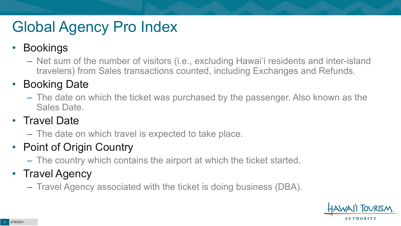## Global Agency Pro Index

#### • Bookings

– Net sum of the number of visitors (i.e., excluding Hawai'i residents and inter-island travelers) from Sales transactions counted, including Exchanges and Refunds.

#### • Booking Date

– The date on which the ticket was purchased by the passenger. Also known as the Sales Date.

#### • Travel Date

– The date on which travel is expected to take place.

#### • Point of Origin Country

– The country which contains the airport at which the ticket started.

#### • Travel Agency

– Travel Agency associated with the ticket is doing business (DBA).

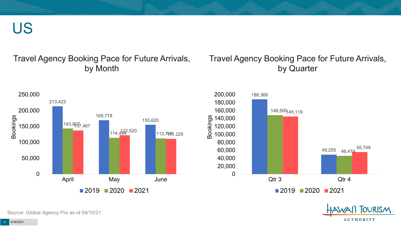US

#### Travel Agency Booking Pace for Future Arrivals, by Month

#### Travel Agency Booking Pace for Future Arrivals, by Quarter





Source: Global Agency Pro as of 04/10/21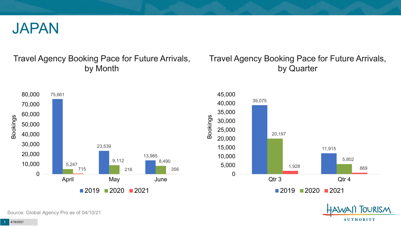

#### Travel Agency Booking Pace for Future Arrivals, by Month

#### Travel Agency Booking Pace for Future Arrivals, by Quarter







Source: Global Agency Pro as of 04/10/21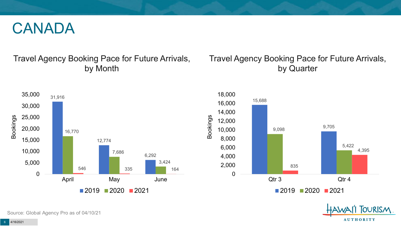#### CANADA

#### Travel Agency Booking Pace for Future Arrivals, by Month

#### Travel Agency Booking Pace for Future Arrivals, by Quarter







Source: Global Agency Pro as of 04/10/21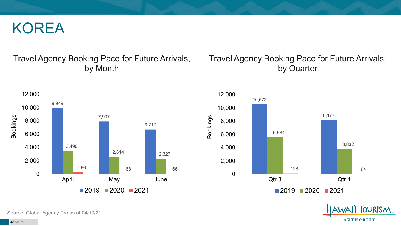#### KOREA

#### Travel Agency Booking Pace for Future Arrivals, by Month

#### 9,949 7,937 6,717 3,496 2,614 2,327 256 **68 68 66** 66 0 2,000 4,000 6,000 8,000 10,000 12,000 April May June Bookings  $2019$  2020 2021

#### Travel Agency Booking Pace for Future Arrivals, by Quarter





Source: Global Agency Pro as of 04/10/21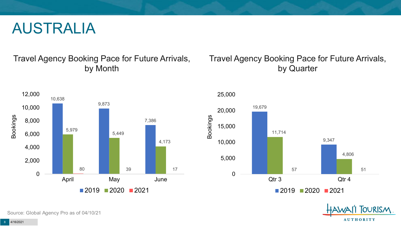#### AUSTRALIA

Travel Agency Booking Pace for Future Arrivals, by Month

#### Travel Agency Booking Pace for Future Arrivals, by Quarter







Source: Global Agency Pro as of 04/10/21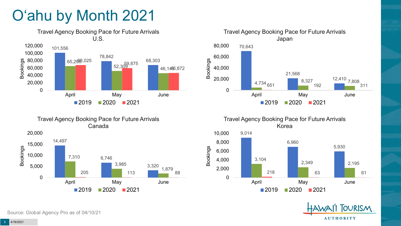## O'ahu by Month 2021





Travel Agency Booking Pace for Future Arrivals Canada Travel Agency Booking Pace for Future Arrivals

Bookings



Korea 9,014 6,960 5,930 6,000 8,000 10,000





Source: Global Agency Pro as of 04/10/21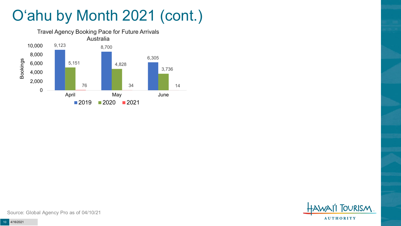## O'ahu by Month 2021 (cont.)





Source: Global Agency Pro as of 04/10/21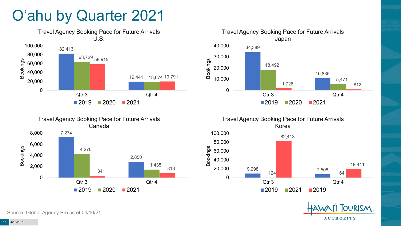### O'ahu by Quarter 2021











Source: Global Agency Pro as of 04/10/21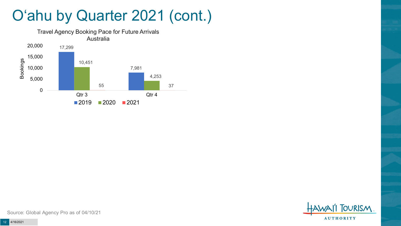#### O'ahu by Quarter 2021 (cont.)





Source: Global Agency Pro as of 04/10/21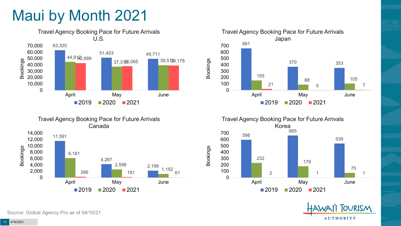### Maui by Month 2021





Travel Agency Booking Pace for Future Arrivals Japan 661 370 353 155 88 105 21 **0 7** 7 0 100 200 300 400 500 600 700 April May June  $2019$  2020 2021

Bookings





Source: Global Agency Pro as of 04/10/21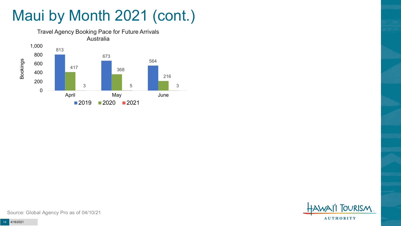# Maui by Month 2021 (cont.)





Source: Global Agency Pro as of 04/10/21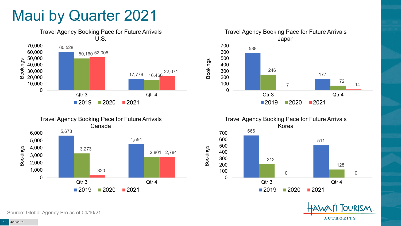#### Maui by Quarter 2021











Source: Global Agency Pro as of 04/10/21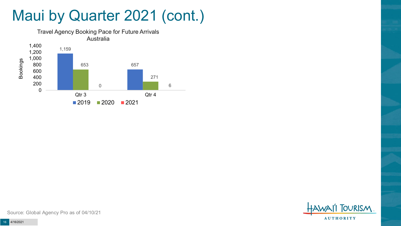#### Maui by Quarter 2021 (cont.)





Source: Global Agency Pro as of 04/10/21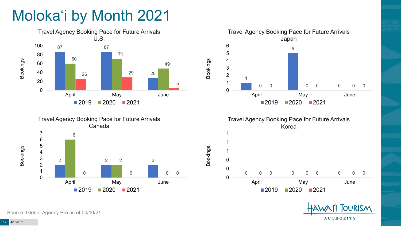## Moloka'i by Month 2021









Bookings





Source: Global Agency Pro as of 04/10/21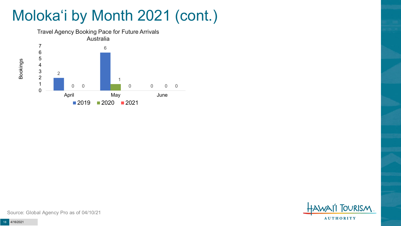## Moloka'i by Month 2021 (cont.)



**TOURISM AUTHORITY** 

Source: Global Agency Pro as of 04/10/21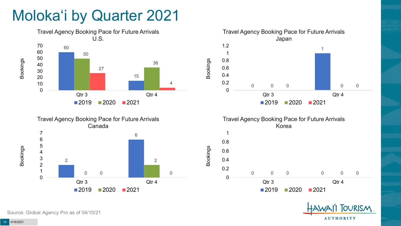### Moloka'i by Quarter 2021









Bookings



Source: Global Agency Pro as of 04/10/21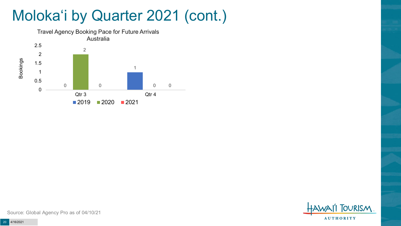### Moloka'i by Quarter 2021 (cont.)



**FOURISM AUTHORITY** 

Source: Global Agency Pro as of 04/10/21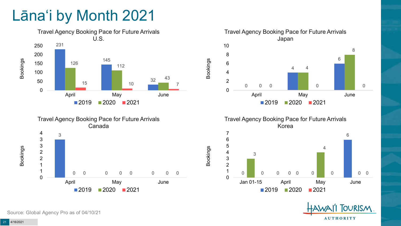### Lāna'i by Month 2021







Travel Agency Booking Pace for Future Arrivals Korea

Bookings



**OURISM AUTHORITY** 

Source: Global Agency Pro as of 04/10/21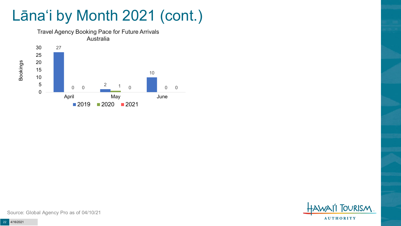### Lāna'i by Month 2021 (cont.)





Source: Global Agency Pro as of 04/10/21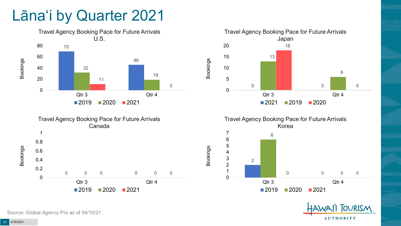#### Lāna'i by Quarter 2021











Source: Global Agency Pro as of 04/10/21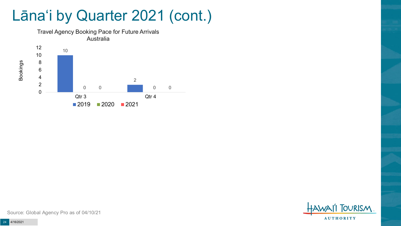#### Lāna'i by Quarter 2021 (cont.)



**TOURISM AUTHORITY** 

Source: Global Agency Pro as of 04/10/21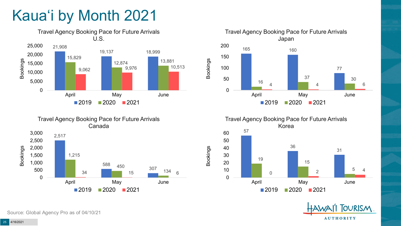## Kaua'i by Month 2021











Source: Global Agency Pro as of 04/10/21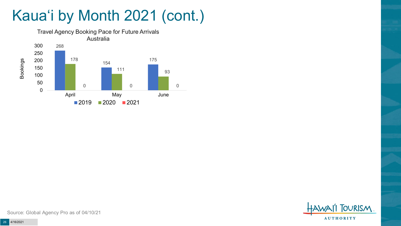### Kaua'i by Month 2021 (cont.)





Source: Global Agency Pro as of 04/10/21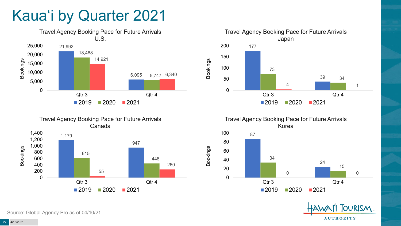### Kaua'i by Quarter 2021







Travel Agency Booking Pace for Future Arrivals Korea



Bookings

**OURISM AUTHORITY** 

Source: Global Agency Pro as of 04/10/21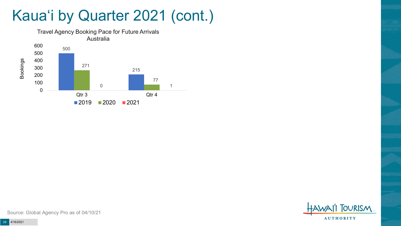#### Kaua'i by Quarter 2021 (cont.)





Source: Global Agency Pro as of 04/10/21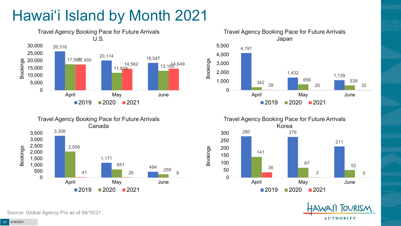## Hawai'i Island by Month 2021











Source: Global Agency Pro as of 04/10/21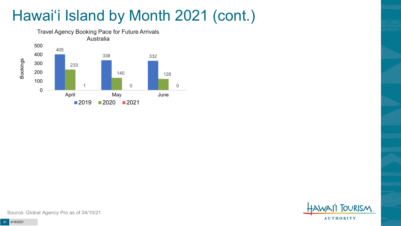## Hawai'i Island by Month 2021 (cont.)



**OURISM AUTHORITY** 

Source: Global Agency Pro as of 04/10/21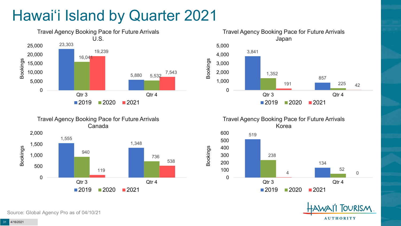## Hawai'i Island by Quarter 2021







Travel Agency Booking Pace for Future Arrivals Korea

Bookings





Source: Global Agency Pro as of 04/10/21